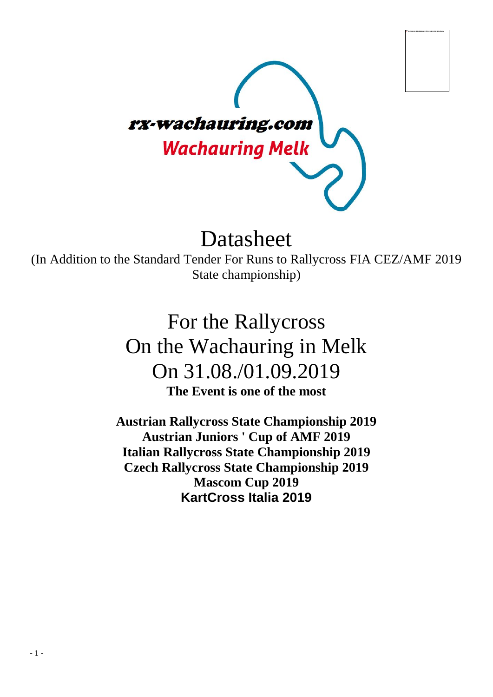

# Datasheet

(In Addition to the Standard Tender For Runs to Rallycross FIA CEZ/AMF 2019 State championship)

> For the Rallycross On the Wachauring in Melk On 31.08./01.09.2019 **The Event is one of the most**

**Austrian Rallycross State Championship 2019 Austrian Juniors ' Cup of AMF 2019 Italian Rallycross State Championship 2019 Czech Rallycross State Championship 2019 Mascom Cup 2019 KartCross Italia 2019**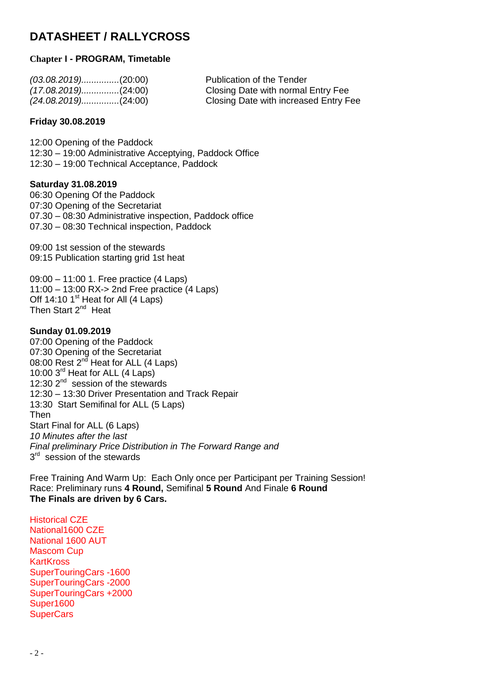## **DATASHEET / RALLYCROSS**

#### **Chapter I - PROGRAM, Timetable**

| $(03.08.2019)$ (20:00) | Publication of the Tender             |
|------------------------|---------------------------------------|
| $(17.08.2019)$ (24:00) | Closing Date with normal Entry Fee    |
|                        | Closing Date with increased Entry Fee |

#### **Friday 30.08.2019**

12:00 Opening of the Paddock 12:30 – 19:00 Administrative Acceptying, Paddock Office 12:30 – 19:00 Technical Acceptance, Paddock

#### **Saturday 31.08.2019**

06:30 Opening Of the Paddock 07:30 Opening of the Secretariat 07.30 – 08:30 Administrative inspection, Paddock office 07.30 – 08:30 Technical inspection, Paddock

09:00 1st session of the stewards 09:15 Publication starting grid 1st heat

09:00 – 11:00 1. Free practice (4 Laps) 11:00 – 13:00 RX-> 2nd Free practice (4 Laps) Off 14:10  $1<sup>st</sup>$  Heat for All (4 Laps) Then Start 2<sup>nd</sup> Heat

#### **Sunday 01.09.2019**

07:00 Opening of the Paddock 07:30 Opening of the Secretariat 08:00 Rest 2<sup>nd</sup> Heat for ALL (4 Laps) 10:00 3<sup>rd</sup> Heat for ALL (4 Laps) 12:30 2<sup>nd</sup> session of the stewards 12:30 – 13:30 Driver Presentation and Track Repair 13:30 Start Semifinal for ALL (5 Laps) Then Start Final for ALL (6 Laps) *10 Minutes after the last Final preliminary Price Distribution in The Forward Range and* 3<sup>rd</sup> session of the stewards

Free Training And Warm Up: Each Only once per Participant per Training Session! Race: Preliminary runs **4 Round,** Semifinal **5 Round** And Finale **6 Round The Finals are driven by 6 Cars.**

Historical CZE National1600 CZE National 1600 AUT Mascom Cup **KartKross** SuperTouringCars -1600 SuperTouringCars -2000 SuperTouringCars +2000 Super1600 **SuperCars**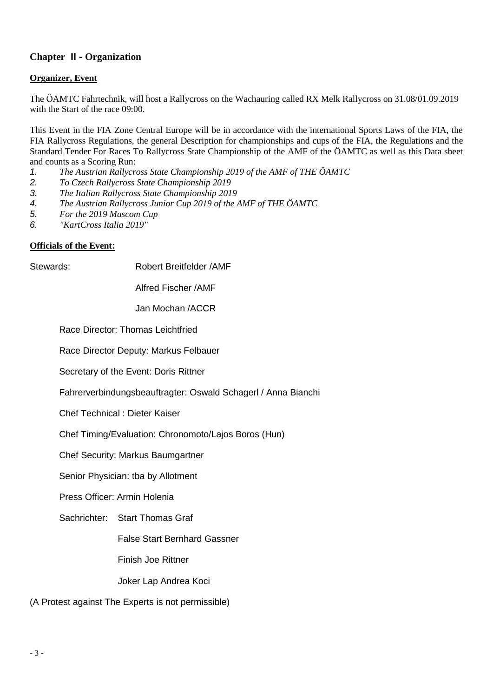### **Chapter II - Organization**

#### **Organizer, Event**

The ÖAMTC Fahrtechnik, will host a Rallycross on the Wachauring called RX Melk Rallycross on 31.08/01.09.2019 with the Start of the race 09:00.

This Event in the FIA Zone Central Europe will be in accordance with the international Sports Laws of the FIA, the FIA Rallycross Regulations, the general Description for championships and cups of the FIA, the Regulations and the Standard Tender For Races To Rallycross State Championship of the AMF of the ÖAMTC as well as this Data sheet and counts as a Scoring Run:

- *1. The Austrian Rallycross State Championship 2019 of the AMF of THE ÖAMTC*
- *2. To Czech Rallycross State Championship 2019*
- *3. The Italian Rallycross State Championship 2019*
- *4. The Austrian Rallycross Junior Cup 2019 of the AMF of THE ÖAMTC*
- *5. For the 2019 Mascom Cup*
- *6. "KartCross Italia 2019"*

#### **Officials of the Event:**

Stewards: Robert Breitfelder /AMF

Alfred Fischer /AMF

Jan Mochan /ACCR

Race Director: Thomas Leichtfried

Race Director Deputy: Markus Felbauer

Secretary of the Event: Doris Rittner

Fahrerverbindungsbeauftragter: Oswald Schagerl / Anna Bianchi

Chef Technical : Dieter Kaiser

Chef Timing/Evaluation: Chronomoto/Lajos Boros (Hun)

Chef Security: Markus Baumgartner

Senior Physician: tba by Allotment

Press Officer: Armin Holenia

Sachrichter: Start Thomas Graf

False Start Bernhard Gassner

Finish Joe Rittner

Joker Lap Andrea Koci

(A Protest against The Experts is not permissible)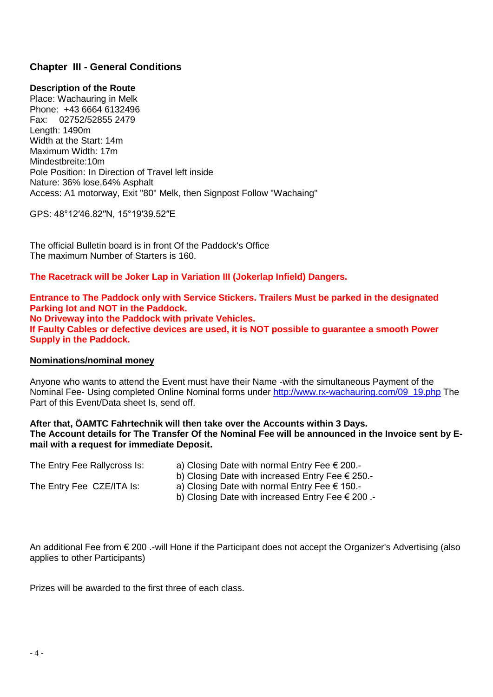#### **Chapter III - General Conditions**

#### **Description of the Route**

Place: Wachauring in Melk Phone: +43 6664 6132496 Fax: 02752/52855 2479 Length: 1490m Width at the Start: 14m Maximum Width: 17m Mindestbreite:10m Pole Position: In Direction of Travel left inside Nature: 36% lose,64% Asphalt Access: A1 motorway, Exit "80" Melk, then Signpost Follow "Wachaing"

GPS: 48°12′46.82′′N, 15°19′39.52′′E

The official Bulletin board is in front Of the Paddock's Office The maximum Number of Starters is 160.

**The Racetrack will be Joker Lap in Variation III (Jokerlap Infield) Dangers.**

**Entrance to The Paddock only with Service Stickers. Trailers Must be parked in the designated Parking lot and NOT in the Paddock. No Driveway into the Paddock with private Vehicles. If Faulty Cables or defective devices are used, it is NOT possible to guarantee a smooth Power Supply in the Paddock.**

#### **Nominations/nominal money**

Anyone who wants to attend the Event must have their Name -with the simultaneous Payment of the Nominal Fee- Using completed Online Nominal forms under [http://www.rx-wachauring.com/09\\_19.php](http://www.rx-wachauring.com/09_19.php) The Part of this Event/Data sheet Is, send off.

#### **After that, ÖAMTC Fahrtechnik will then take over the Accounts within 3 Days. The Account details for The Transfer Of the Nominal Fee will be announced in the Invoice sent by Email with a request for immediate Deposit.**

| The Entry Fee Rallycross Is: | a) Closing Date with normal Entry Fee $\epsilon$ 200.-    |
|------------------------------|-----------------------------------------------------------|
|                              | b) Closing Date with increased Entry Fee $\epsilon$ 250.- |
| The Entry Fee CZE/ITA Is:    | a) Closing Date with normal Entry Fee $\epsilon$ 150.-    |

b) Closing Date with increased Entry Fee € 200 .-

An additional Fee from € 200 .-will Hone if the Participant does not accept the Organizer's Advertising (also applies to other Participants)

Prizes will be awarded to the first three of each class.